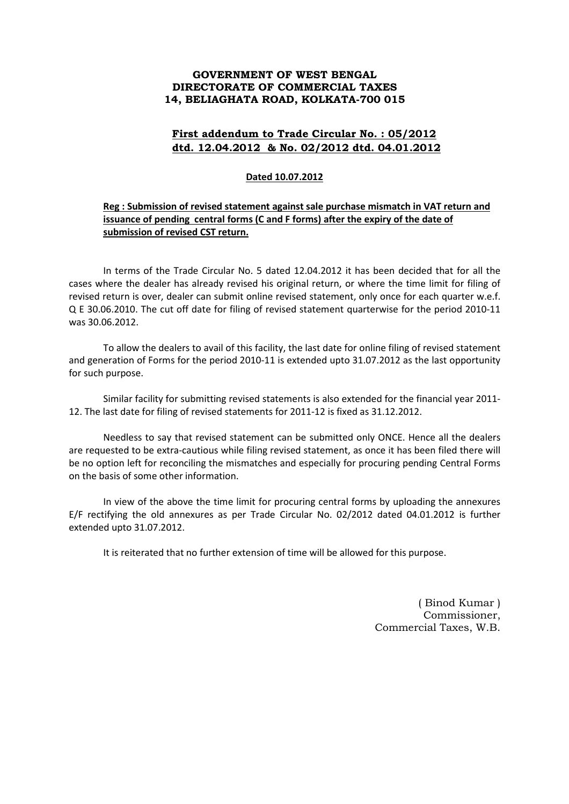## **GOVERNMENT OF WEST BENGAL DIRECTORATE OF COMMERCIAL TAXES 14, BELIAGHATA ROAD, KOLKATA-700 015**

## **First addendum to Trade Circular No. : 05/2012 dtd. 12.04.2012 & No. 02/2012 dtd. 04.01.2012**

## **Dated 10.07.2012**

## **Reg : Submission of revised statement against sale purchase mismatch in VAT return and issuance of pending central forms (C and F forms) after the expiry of the date of submission of revised CST return.**

 In terms of the Trade Circular No. 5 dated 12.04.2012 it has been decided that for all the cases where the dealer has already revised his original return, or where the time limit for filing of revised return is over, dealer can submit online revised statement, only once for each quarter w.e.f. Q E 30.06.2010. The cut off date for filing of revised statement quarterwise for the period 2010-11 was 30.06.2012.

 To allow the dealers to avail of this facility, the last date for online filing of revised statement and generation of Forms for the period 2010-11 is extended upto 31.07.2012 as the last opportunity for such purpose.

 Similar facility for submitting revised statements is also extended for the financial year 2011- 12. The last date for filing of revised statements for 2011-12 is fixed as 31.12.2012.

 Needless to say that revised statement can be submitted only ONCE. Hence all the dealers are requested to be extra-cautious while filing revised statement, as once it has been filed there will be no option left for reconciling the mismatches and especially for procuring pending Central Forms on the basis of some other information.

 In view of the above the time limit for procuring central forms by uploading the annexures E/F rectifying the old annexures as per Trade Circular No. 02/2012 dated 04.01.2012 is further extended upto 31.07.2012.

It is reiterated that no further extension of time will be allowed for this purpose.

( Binod Kumar ) Commissioner, Commercial Taxes, W.B.